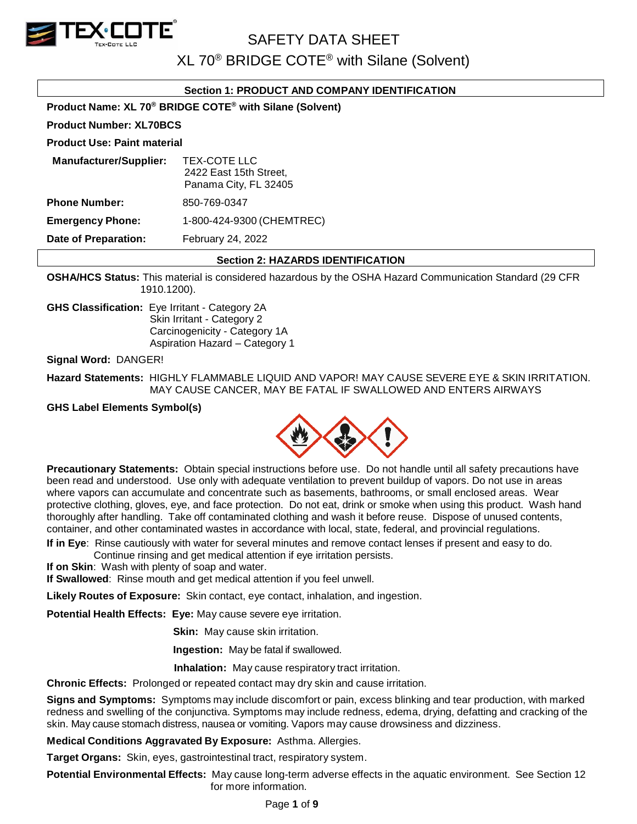

# XL 70® BRIDGE COTE® with Silane (Solvent)

### **Section 1: PRODUCT AND COMPANY IDENTIFICATION**

**Product Name: XL 70® BRIDGE COTE® with Silane (Solvent)**

#### **Product Number: XL70BCS**

#### **Product Use: Paint material**

| <b>Manufacturer/Supplier:</b> | TEX-COTE LLC<br>2422 East 15th Street,<br>Panama City, FL 32405 |
|-------------------------------|-----------------------------------------------------------------|
| <b>Phone Number:</b>          | 850-769-0347                                                    |
| <b>Emergency Phone:</b>       | 1-800-424-9300 (CHEMTREC)                                       |
| <b>Date of Preparation:</b>   | February 24, 2022                                               |

#### **Section 2: HAZARDS IDENTIFICATION**

**OSHA/HCS Status:** This material is considered hazardous by the OSHA Hazard Communication Standard (29 CFR 1910.1200).

**GHS Classification:** Eye Irritant - Category 2A

Skin Irritant - Category 2 Carcinogenicity - Category 1A Aspiration Hazard – Category 1

**Signal Word:** DANGER!

**Hazard Statements:** HIGHLY FLAMMABLE LIQUID AND VAPOR! MAY CAUSE SEVERE EYE & SKIN IRRITATION. MAY CAUSE CANCER, MAY BE FATAL IF SWALLOWED AND ENTERS AIRWAYS

**GHS Label Elements Symbol(s)**



**Precautionary Statements:** Obtain special instructions before use. Do not handle until all safety precautions have been read and understood. Use only with adequate ventilation to prevent buildup of vapors. Do not use in areas where vapors can accumulate and concentrate such as basements, bathrooms, or small enclosed areas. Wear protective clothing, gloves, eye, and face protection. Do not eat, drink or smoke when using this product. Wash hand thoroughly after handling. Take off contaminated clothing and wash it before reuse. Dispose of unused contents, container, and other contaminated wastes in accordance with local, state, federal, and provincial regulations.

**If in Eye**: Rinse cautiously with water for several minutes and remove contact lenses if present and easy to do. Continue rinsing and get medical attention if eye irritation persists.

**If on Skin**: Wash with plenty of soap and water.

**If Swallowed**: Rinse mouth and get medical attention if you feel unwell.

**Likely Routes of Exposure:** Skin contact, eye contact, inhalation, and ingestion.

**Potential Health Effects: Eye:** May cause severe eye irritation.

**Skin:** May cause skin irritation.

**Ingestion:** May be fatal if swallowed.

 **Inhalation:** May cause respiratory tract irritation.

**Chronic Effects:** Prolonged or repeated contact may dry skin and cause irritation.

**Signs and Symptoms:** Symptoms may include discomfort or pain, excess blinking and tear production, with marked redness and swelling of the conjunctiva. Symptoms may include redness, edema, drying, defatting and cracking of the skin. May cause stomach distress, nausea or vomiting. Vapors may cause drowsiness and dizziness.

**Medical Conditions Aggravated By Exposure:** Asthma. Allergies.

**Target Organs:** Skin, eyes, gastrointestinal tract, respiratory system.

**Potential Environmental Effects:** May cause long-term adverse effects in the aquatic environment. See Section 12 for more information.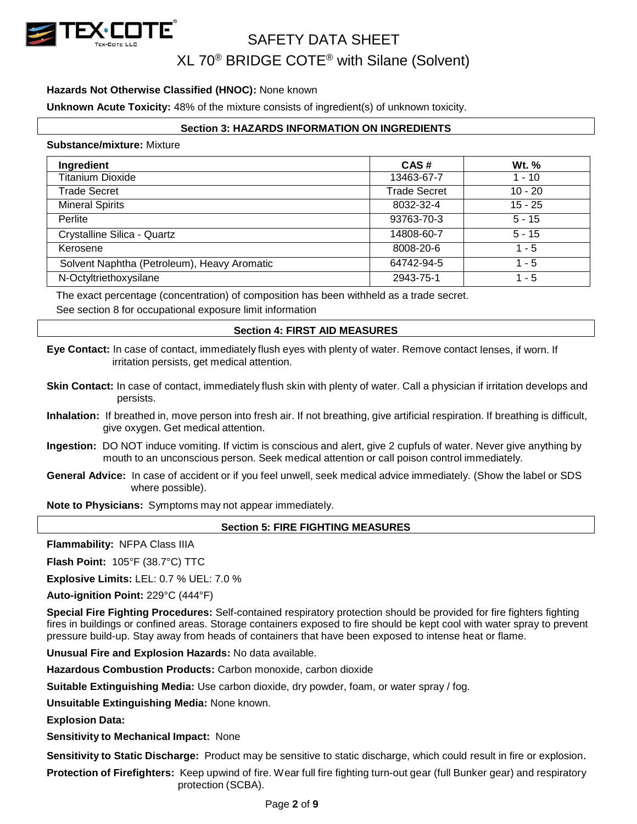

XL 70® BRIDGE COTE® with Silane (Solvent)

### **Hazards Not Otherwise Classified (HNOC):** None known

**Unknown Acute Toxicity:** 48% of the mixture consists of ingredient(s) of unknown toxicity.

#### **Section 3: HAZARDS INFORMATION ON INGREDIENTS**

#### **Substance/mixture:** Mixture

| Ingredient                                  | CAS#                | Wt. %     |
|---------------------------------------------|---------------------|-----------|
| <b>Titanium Dioxide</b>                     | 13463-67-7          | 1 - 10    |
| Trade Secret                                | <b>Trade Secret</b> | $10 - 20$ |
| <b>Mineral Spirits</b>                      | 8032-32-4           | $15 - 25$ |
| Perlite                                     | 93763-70-3          | $5 - 15$  |
| Crystalline Silica - Quartz                 | 14808-60-7          | $5 - 15$  |
| Kerosene                                    | 8008-20-6           | $1 - 5$   |
| Solvent Naphtha (Petroleum), Heavy Aromatic | 64742-94-5          | $1 - 5$   |
| N-Octyltriethoxysilane                      | 2943-75-1           | $1 - 5$   |

The exact percentage (concentration) of composition has been withheld as a trade secret. See section 8 for occupational exposure limit information

#### **Section 4: FIRST AID MEASURES**

**Eye Contact:** In case of contact, immediately flush eyes with plenty of water. Remove contact lenses, if worn. If irritation persists, get medical attention.

- **Skin Contact:** In case of contact, immediately flush skin with plenty of water. Call a physician if irritation develops and persists.
- **Inhalation:** If breathed in, move person into fresh air. If not breathing, give artificial respiration. If breathing is difficult, give oxygen. Get medical attention.
- **Ingestion:** DO NOT induce vomiting. If victim is conscious and alert, give 2 cupfuls of water. Never give anything by mouth to an unconscious person. Seek medical attention or call poison control immediately.
- **General Advice:** In case of accident or if you feel unwell, seek medical advice immediately. (Show the label or SDS where possible).

**Note to Physicians:** Symptoms may not appear immediately.

### **Section 5: FIRE FIGHTING MEASURES**

**Flammability:** NFPA Class IIIA

**Flash Point:** 105°F (38.7°C) TTC

**Explosive Limits:** LEL: 0.7 % UEL: 7.0 %

**Auto-ignition Point:** 229°C (444°F)

**Special Fire Fighting Procedures:** Self-contained respiratory protection should be provided for fire fighters fighting fires in buildings or confined areas. Storage containers exposed to fire should be kept cool with water spray to prevent pressure build-up. Stay away from heads of containers that have been exposed to intense heat or flame.

**Unusual Fire and Explosion Hazards:** No data available.

**Hazardous Combustion Products:** Carbon monoxide, carbon dioxide

**Suitable Extinguishing Media:** Use carbon dioxide, dry powder, foam, or water spray / fog.

**Unsuitable Extinguishing Media:** None known.

**Explosion Data:**

**Sensitivity to Mechanical Impact:** None

**Sensitivity to Static Discharge:** Product may be sensitive to static discharge, which could result in fire or explosion.

**Protection of Firefighters:** Keep upwind of fire. Wear full fire fighting turn-out gear (full Bunker gear) and respiratory protection (SCBA).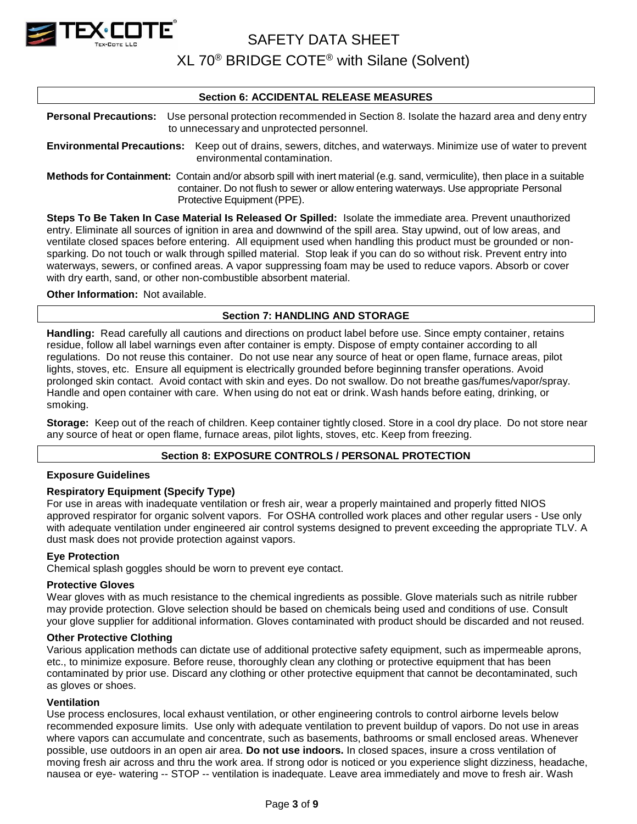

XL 70® BRIDGE COTE® with Silane (Solvent)

| <b>Section 6: ACCIDENTAL RELEASE MEASURES</b>                                                                                                                                                                                                        |                                                                                                                                                                                                                                   |  |
|------------------------------------------------------------------------------------------------------------------------------------------------------------------------------------------------------------------------------------------------------|-----------------------------------------------------------------------------------------------------------------------------------------------------------------------------------------------------------------------------------|--|
| <b>Personal Precautions:</b>                                                                                                                                                                                                                         | Use personal protection recommended in Section 8. Isolate the hazard area and deny entry<br>to unnecessary and unprotected personnel.                                                                                             |  |
| <b>Environmental Precautions:</b>                                                                                                                                                                                                                    | Keep out of drains, sewers, ditches, and waterways. Minimize use of water to prevent<br>environmental contamination.                                                                                                              |  |
| Methods for Containment: Contain and/or absorb spill with inert material (e.g. sand, vermiculite), then place in a suitable<br>container. Do not flush to sewer or allow entering waterways. Use appropriate Personal<br>Protective Equipment (PPE). |                                                                                                                                                                                                                                   |  |
|                                                                                                                                                                                                                                                      | Steps To Be Taken In Case Material Is Released Or Spilled: Isolate the immediate area. Prevent unauthorized<br>ontry Eliminate all courses of ignition in area and downwind of the spill area. Stay unwind, out of low areas, and |  |

entry. Eliminate all sources of ignition in area and downwind of the spill area. Stay upwind, out of low areas, and ventilate closed spaces before entering. All equipment used when handling this product must be grounded or nonsparking. Do not touch or walk through spilled material. Stop leak if you can do so without risk. Prevent entry into waterways, sewers, or confined areas. A vapor suppressing foam may be used to reduce vapors. Absorb or cover with dry earth, sand, or other non-combustible absorbent material.

#### **Other Information:** Not available.

#### **Section 7: HANDLING AND STORAGE**

**Handling:** Read carefully all cautions and directions on product label before use. Since empty container, retains residue, follow all label warnings even after container is empty. Dispose of empty container according to all regulations. Do not reuse this container. Do not use near any source of heat or open flame, furnace areas, pilot lights, stoves, etc. Ensure all equipment is electrically grounded before beginning transfer operations. Avoid prolonged skin contact. Avoid contact with skin and eyes. Do not swallow. Do not breathe gas/fumes/vapor/spray. Handle and open container with care. When using do not eat or drink. Wash hands before eating, drinking, or smoking.

**Storage:** Keep out of the reach of children. Keep container tightly closed. Store in a cool dry place. Do not store near any source of heat or open flame, furnace areas, pilot lights, stoves, etc. Keep from freezing.

#### **Section 8: EXPOSURE CONTROLS / PERSONAL PROTECTION**

#### **Exposure Guidelines**

#### **Respiratory Equipment (Specify Type)**

For use in areas with inadequate ventilation or fresh air, wear a properly maintained and properly fitted NIOS approved respirator for organic solvent vapors. For OSHA controlled work places and other regular users - Use only with adequate ventilation under engineered air control systems designed to prevent exceeding the appropriate TLV. A dust mask does not provide protection against vapors.

#### **Eye Protection**

Chemical splash goggles should be worn to prevent eye contact.

#### **Protective Gloves**

Wear gloves with as much resistance to the chemical ingredients as possible. Glove materials such as nitrile rubber may provide protection. Glove selection should be based on chemicals being used and conditions of use. Consult your glove supplier for additional information. Gloves contaminated with product should be discarded and not reused.

#### **Other Protective Clothing**

Various application methods can dictate use of additional protective safety equipment, such as impermeable aprons, etc., to minimize exposure. Before reuse, thoroughly clean any clothing or protective equipment that has been contaminated by prior use. Discard any clothing or other protective equipment that cannot be decontaminated, such as gloves or shoes.

### **Ventilation**

Use process enclosures, local exhaust ventilation, or other engineering controls to control airborne levels below recommended exposure limits. Use only with adequate ventilation to prevent buildup of vapors. Do not use in areas where vapors can accumulate and concentrate, such as basements, bathrooms or small enclosed areas. Whenever possible, use outdoors in an open air area. **Do not use indoors.** In closed spaces, insure a cross ventilation of moving fresh air across and thru the work area. If strong odor is noticed or you experience slight dizziness, headache, nausea or eye- watering -- STOP -- ventilation is inadequate. Leave area immediately and move to fresh air. Wash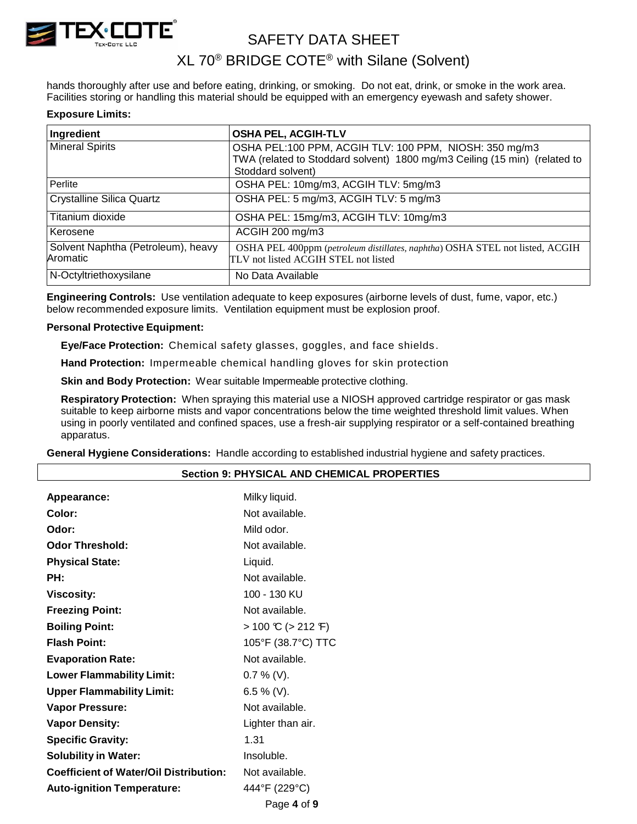

# XL 70® BRIDGE COTE® with Silane (Solvent)

hands thoroughly after use and before eating, drinking, or smoking. Do not eat, drink, or smoke in the work area. Facilities storing or handling this material should be equipped with an emergency eyewash and safety shower.

#### **Exposure Limits:**

| Ingredient                                     | <b>OSHA PEL, ACGIH-TLV</b>                                                                                           |
|------------------------------------------------|----------------------------------------------------------------------------------------------------------------------|
| <b>Mineral Spirits</b>                         | OSHA PEL:100 PPM, ACGIH TLV: 100 PPM, NIOSH: 350 mg/m3                                                               |
|                                                | TWA (related to Stoddard solvent) 1800 mg/m3 Ceiling (15 min) (related to                                            |
|                                                | Stoddard solvent)                                                                                                    |
| Perlite                                        | OSHA PEL: 10mg/m3, ACGIH TLV: 5mg/m3                                                                                 |
| <b>Crystalline Silica Quartz</b>               | OSHA PEL: 5 mg/m3, ACGIH TLV: 5 mg/m3                                                                                |
| Titanium dioxide                               | OSHA PEL: 15mg/m3, ACGIH TLV: 10mg/m3                                                                                |
| Kerosene                                       | ACGIH 200 mg/m3                                                                                                      |
| Solvent Naphtha (Petroleum), heavy<br>Aromatic | OSHA PEL 400ppm (petroleum distillates, naphtha) OSHA STEL not listed, ACGIH<br>TLV not listed ACGIH STEL not listed |
| N-Octyltriethoxysilane                         | No Data Available                                                                                                    |

**Engineering Controls:** Use ventilation adequate to keep exposures (airborne levels of dust, fume, vapor, etc.) below recommended exposure limits. Ventilation equipment must be explosion proof.

#### **Personal Protective Equipment:**

**Eye/Face Protection:** Chemical safety glasses, goggles, and face shields.

**Hand Protection:** Impermeable chemical handling gloves for skin protection

**Skin and Body Protection:** Wear suitable Impermeable protective clothing.

**Respiratory Protection:** When spraying this material use a NIOSH approved cartridge respirator or gas mask suitable to keep airborne mists and vapor concentrations below the time weighted threshold limit values. When using in poorly ventilated and confined spaces, use a fresh-air supplying respirator or a self-contained breathing apparatus.

**General Hygiene Considerations:** Handle according to established industrial hygiene and safety practices.

| Appearance:                                   | Milky liquid.                           |
|-----------------------------------------------|-----------------------------------------|
| Color:                                        | Not available.                          |
| Odor:                                         | Mild odor.                              |
| <b>Odor Threshold:</b>                        | Not available.                          |
| <b>Physical State:</b>                        | Liquid.                                 |
| PH:                                           | Not available.                          |
| <b>Viscosity:</b>                             | 100 - 130 KU                            |
| <b>Freezing Point:</b>                        | Not available.                          |
| <b>Boiling Point:</b>                         | $> 100 \text{ C}$ ( $> 212 \text{ F}$ ) |
| <b>Flash Point:</b>                           | 105°F (38.7°C) TTC                      |
| <b>Evaporation Rate:</b>                      | Not available.                          |
| <b>Lower Flammability Limit:</b>              | $0.7\%$ (V).                            |
| <b>Upper Flammability Limit:</b>              | 6.5 % (V).                              |
| <b>Vapor Pressure:</b>                        | Not available.                          |
| <b>Vapor Density:</b>                         | Lighter than air.                       |
| <b>Specific Gravity:</b>                      | 1.31                                    |
| <b>Solubility in Water:</b>                   | Insoluble.                              |
| <b>Coefficient of Water/Oil Distribution:</b> | Not available.                          |
| <b>Auto-ignition Temperature:</b>             | 444°F (229°C)                           |
|                                               | Page 4 of 9                             |

#### **Section 9: PHYSICAL AND CHEMICAL PROPERTIES**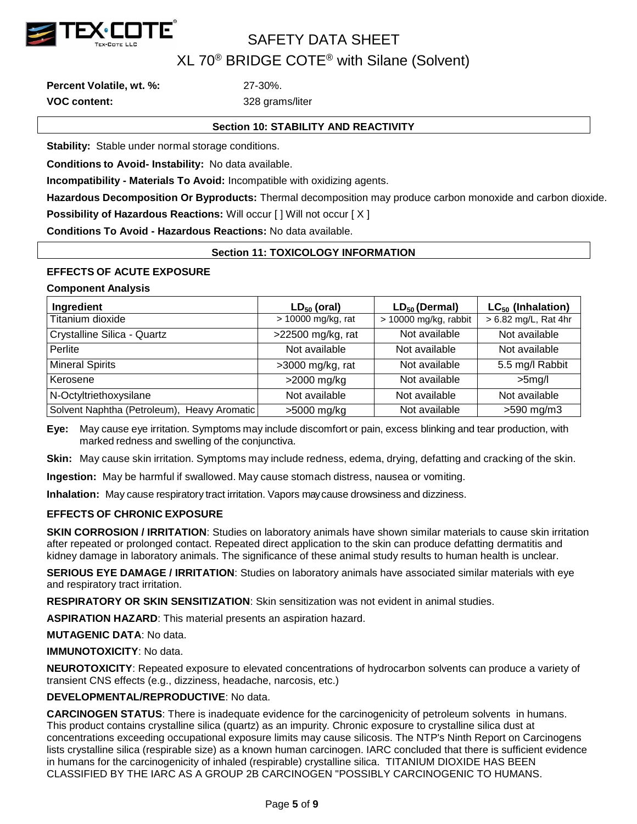

# XL 70® BRIDGE COTE® with Silane (Solvent)

**Percent Volatile, wt. %:** 27-30%. **VOC content:** 328 grams/liter

### **Section 10: STABILITY AND REACTIVITY**

**Stability:** Stable under normal storage conditions.

**Conditions to Avoid- Instability:** No data available.

**Incompatibility - Materials To Avoid:** Incompatible with oxidizing agents.

**Hazardous Decomposition Or Byproducts:** Thermal decomposition may produce carbon monoxide and carbon dioxide.

**Possibility of Hazardous Reactions:** Will occur [] Will not occur [X]

**Conditions To Avoid - Hazardous Reactions:** No data available.

### **Section 11: TOXICOLOGY INFORMATION**

### **EFFECTS OF ACUTE EXPOSURE**

#### **Component Analysis**

| Ingredient                                  | $LD_{50}$ (oral)   | $LD_{50}$ (Dermal)    | $LC_{50}$ (Inhalation) |
|---------------------------------------------|--------------------|-----------------------|------------------------|
| Titanium dioxide                            | > 10000 mg/kg, rat | > 10000 mg/kg, rabbit | > 6.82 mg/L, Rat 4hr   |
| Crystalline Silica - Quartz                 | >22500 mg/kg, rat  | Not available         | Not available          |
| Perlite                                     | Not available      | Not available         | Not available          |
| <b>Mineral Spirits</b>                      | $>3000$ mg/kg, rat | Not available         | 5.5 mg/l Rabbit        |
| Kerosene                                    | >2000 mg/kg        | Not available         | $>5$ mg/l              |
| N-Octyltriethoxysilane                      | Not available      | Not available         | Not available          |
| Solvent Naphtha (Petroleum), Heavy Aromatic | >5000 mg/kg        | Not available         | >590 mg/m3             |

**Eye:** May cause eye irritation. Symptoms may include discomfort or pain, excess blinking and tear production, with marked redness and swelling of the conjunctiva.

**Skin:** May cause skin irritation. Symptoms may include redness, edema, drying, defatting and cracking of the skin.

**Ingestion:** May be harmful if swallowed. May cause stomach distress, nausea or vomiting.

**Inhalation:** May cause respiratory tract irritation. Vapors maycause drowsiness and dizziness.

### **EFFECTS OF CHRONIC EXPOSURE**

**SKIN CORROSION / IRRITATION**: Studies on laboratory animals have shown similar materials to cause skin irritation after repeated or prolonged contact. Repeated direct application to the skin can produce defatting dermatitis and kidney damage in laboratory animals. The significance of these animal study results to human health is unclear.

**SERIOUS EYE DAMAGE / IRRITATION**: Studies on laboratory animals have associated similar materials with eye and respiratory tract irritation.

**RESPIRATORY OR SKIN SENSITIZATION**: Skin sensitization was not evident in animal studies.

**ASPIRATION HAZARD**: This material presents an aspiration hazard.

**MUTAGENIC DATA**: No data.

**IMMUNOTOXICITY**: No data.

**NEUROTOXICITY**: Repeated exposure to elevated concentrations of hydrocarbon solvents can produce a variety of transient CNS effects (e.g., dizziness, headache, narcosis, etc.)

#### **DEVELOPMENTAL/REPRODUCTIVE**: No data.

**CARCINOGEN STATUS**: There is inadequate evidence for the carcinogenicity of petroleum solvents in humans. This product contains crystalline silica (quartz) as an impurity. Chronic exposure to crystalline silica dust at concentrations exceeding occupational exposure limits may cause silicosis. The NTP's Ninth Report on Carcinogens lists crystalline silica (respirable size) as a known human carcinogen. IARC concluded that there is sufficient evidence in humans for the carcinogenicity of inhaled (respirable) crystalline silica. TITANIUM DIOXIDE HAS BEEN CLASSIFIED BY THE IARC AS A GROUP 2B CARCINOGEN "POSSIBLY CARCINOGENIC TO HUMANS.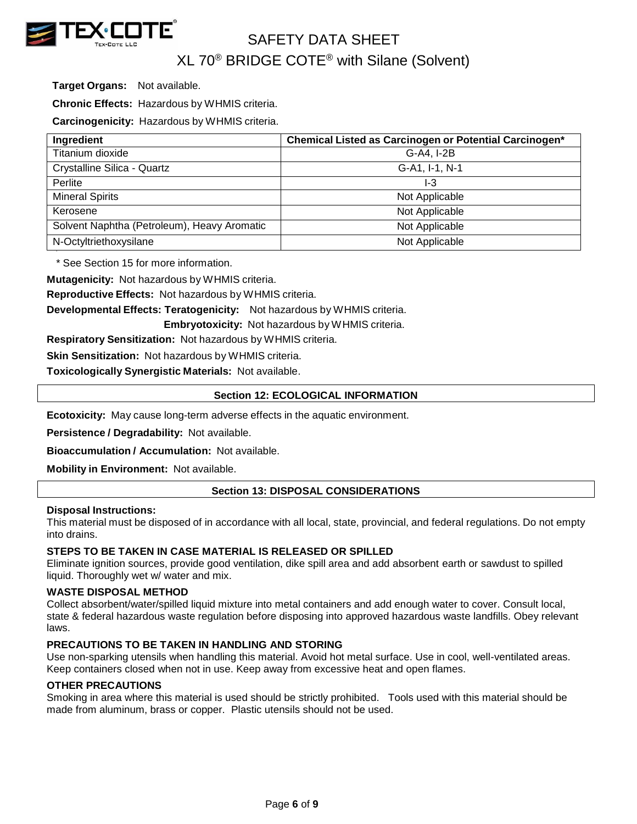

# SAFETY DATA SHEET XL 70® BRIDGE COTE® with Silane (Solvent)

**Target Organs:** Not available.

**Chronic Effects:** Hazardous by WHMIS criteria.

**Carcinogenicity:** Hazardous by WHMIS criteria.

| Ingredient                                  | Chemical Listed as Carcinogen or Potential Carcinogen* |
|---------------------------------------------|--------------------------------------------------------|
| Titanium dioxide                            | G-A4, I-2B                                             |
| Crystalline Silica - Quartz                 | G-A1, I-1, N-1                                         |
| Perlite                                     | I-3                                                    |
| <b>Mineral Spirits</b>                      | Not Applicable                                         |
| Kerosene                                    | Not Applicable                                         |
| Solvent Naphtha (Petroleum), Heavy Aromatic | Not Applicable                                         |
| N-Octyltriethoxysilane                      | Not Applicable                                         |

\* See Section 15 for more information.

**Mutagenicity:** Not hazardous by WHMIS criteria.

**Reproductive Effects:** Not hazardous by WHMIS criteria.

**Developmental Effects: Teratogenicity:** Not hazardous by WHMIS criteria.

**Embryotoxicity:** Not hazardous by WHMIS criteria.

**Respiratory Sensitization:** Not hazardous by WHMIS criteria.

**Skin Sensitization:** Not hazardous by WHMIS criteria.

**Toxicologically Synergistic Materials:** Not available.

#### **Section 12: ECOLOGICAL INFORMATION**

**Ecotoxicity:** May cause long-term adverse effects in the aquatic environment.

**Persistence / Degradability:** Not available.

**Bioaccumulation / Accumulation:** Not available.

**Mobility in Environment:** Not available.

#### **Section 13: DISPOSAL CONSIDERATIONS**

#### **Disposal Instructions:**

This material must be disposed of in accordance with all local, state, provincial, and federal regulations. Do not empty into drains.

#### **STEPS TO BE TAKEN IN CASE MATERIAL IS RELEASED OR SPILLED**

Eliminate ignition sources, provide good ventilation, dike spill area and add absorbent earth or sawdust to spilled liquid. Thoroughly wet w/ water and mix.

#### **WASTE DISPOSAL METHOD**

Collect absorbent/water/spilled liquid mixture into metal containers and add enough water to cover. Consult local, state & federal hazardous waste regulation before disposing into approved hazardous waste landfills. Obey relevant laws.

#### **PRECAUTIONS TO BE TAKEN IN HANDLING AND STORING**

Use non-sparking utensils when handling this material. Avoid hot metal surface. Use in cool, well-ventilated areas. Keep containers closed when not in use. Keep away from excessive heat and open flames.

#### **OTHER PRECAUTIONS**

Smoking in area where this material is used should be strictly prohibited. Tools used with this material should be made from aluminum, brass or copper. Plastic utensils should not be used.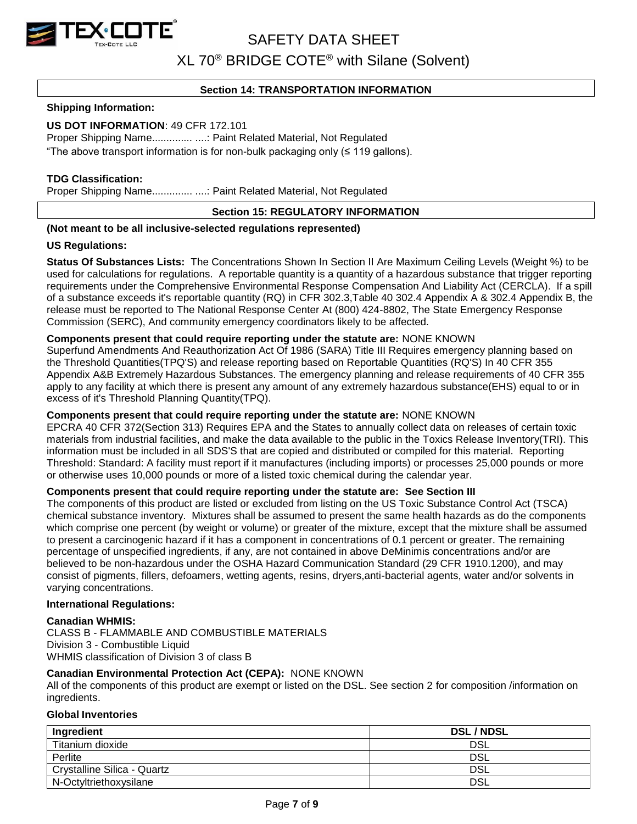

XL 70® BRIDGE COTE® with Silane (Solvent)

### **Section 14: TRANSPORTATION INFORMATION**

#### **Shipping Information:**

#### **US DOT INFORMATION**: 49 CFR 172.101

Proper Shipping Name.............. ....: Paint Related Material, Not Regulated "The above transport information is for non-bulk packaging only (≤ 119 gallons).

#### **TDG Classification:**

Proper Shipping Name.............. ....: Paint Related Material, Not Regulated

#### **Section 15: REGULATORY INFORMATION**

### **(Not meant to be all inclusive-selected regulations represented)**

#### **US Regulations:**

**Status Of Substances Lists:** The Concentrations Shown In Section II Are Maximum Ceiling Levels (Weight %) to be used for calculations for regulations. A reportable quantity is a quantity of a hazardous substance that trigger reporting requirements under the Comprehensive Environmental Response Compensation And Liability Act (CERCLA). If a spill of a substance exceeds it's reportable quantity (RQ) in CFR 302.3,Table 40 302.4 Appendix A & 302.4 Appendix B, the release must be reported to The National Response Center At (800) 424-8802, The State Emergency Response Commission (SERC), And community emergency coordinators likely to be affected.

#### **Components present that could require reporting under the statute are:** NONE KNOWN

Superfund Amendments And Reauthorization Act Of 1986 (SARA) Title III Requires emergency planning based on the Threshold Quantities(TPQ'S) and release reporting based on Reportable Quantities (RQ'S) In 40 CFR 355 Appendix A&B Extremely Hazardous Substances. The emergency planning and release requirements of 40 CFR 355 apply to any facility at which there is present any amount of any extremely hazardous substance(EHS) equal to or in excess of it's Threshold Planning Quantity(TPQ).

#### **Components present that could require reporting under the statute are:** NONE KNOWN

EPCRA 40 CFR 372(Section 313) Requires EPA and the States to annually collect data on releases of certain toxic materials from industrial facilities, and make the data available to the public in the Toxics Release Inventory(TRI). This information must be included in all SDS'S that are copied and distributed or compiled for this material. Reporting Threshold: Standard: A facility must report if it manufactures (including imports) or processes 25,000 pounds or more or otherwise uses 10,000 pounds or more of a listed toxic chemical during the calendar year.

#### **Components present that could require reporting under the statute are: See Section III**

The components of this product are listed or excluded from listing on the US Toxic Substance Control Act (TSCA) chemical substance inventory. Mixtures shall be assumed to present the same health hazards as do the components which comprise one percent (by weight or volume) or greater of the mixture, except that the mixture shall be assumed to present a carcinogenic hazard if it has a component in concentrations of 0.1 percent or greater. The remaining percentage of unspecified ingredients, if any, are not contained in above DeMinimis concentrations and/or are believed to be non-hazardous under the OSHA Hazard Communication Standard (29 CFR 1910.1200), and may consist of pigments, fillers, defoamers, wetting agents, resins, dryers,anti-bacterial agents, water and/or solvents in varying concentrations.

#### **International Regulations:**

#### **Canadian WHMIS:**

CLASS B - FLAMMABLE AND COMBUSTIBLE MATERIALS Division 3 - Combustible Liquid WHMIS classification of Division 3 of class B

#### **Canadian Environmental Protection Act (CEPA):** NONE KNOWN

All of the components of this product are exempt or listed on the DSL. See section 2 for composition /information on ingredients.

#### **Global Inventories**

| Ingredient                  | <b>DSL/NDSL</b> |
|-----------------------------|-----------------|
| Titanium dioxide            | DSL             |
| Perlite                     | <b>DSL</b>      |
| Crystalline Silica - Quartz | <b>DSL</b>      |
| N-Octyltriethoxysilane      | DSL             |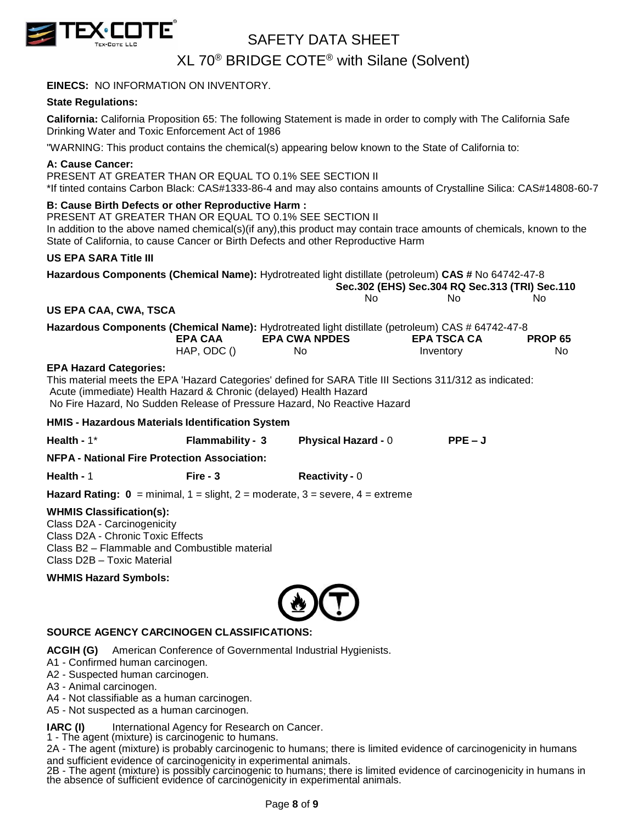

XL 70® BRIDGE COTE® with Silane (Solvent)

### **EINECS:** NO INFORMATION ON INVENTORY.

#### **State Regulations:**

**California:** California Proposition 65: The following Statement is made in order to comply with The California Safe Drinking Water and Toxic Enforcement Act of 1986

"WARNING: This product contains the chemical(s) appearing below known to the State of California to:

#### **A: Cause Cancer:**

PRESENT AT GREATER THAN OR EQUAL TO 0.1% SEE SECTION II \*If tinted contains Carbon Black: CAS#1333-86-4 and may also contains amounts of Crystalline Silica: CAS#14808-60-7

#### **B: Cause Birth Defects or other Reproductive Harm :**

PRESENT AT GREATER THAN OR EQUAL TO 0.1% SEE SECTION II In addition to the above named chemical(s)(if any),this product may contain trace amounts of chemicals, known to the State of California, to cause Cancer or Birth Defects and other Reproductive Harm

#### **US EPA SARA Title III**

|                                                                                                  | Hazardous Components (Chemical Name): Hydrotreated light distillate (petroleum) CAS # No 64742-47-8<br>Sec.302 (EHS) Sec.304 RQ Sec.313 (TRI) Sec.110 |                    |                |
|--------------------------------------------------------------------------------------------------|-------------------------------------------------------------------------------------------------------------------------------------------------------|--------------------|----------------|
|                                                                                                  |                                                                                                                                                       |                    |                |
|                                                                                                  | Nο                                                                                                                                                    | Nο                 | No.            |
| US EPA CAA, CWA, TSCA                                                                            |                                                                                                                                                       |                    |                |
| Hazardous Components (Chemical Name): Hydrotreated light distillate (petroleum) CAS # 64742-47-8 |                                                                                                                                                       |                    |                |
| <b>EPA CAA</b>                                                                                   | <b>EPA CWA NPDES</b>                                                                                                                                  | <b>EPA TSCA CA</b> | <b>PROP 65</b> |
| $HAP$ , ODC $()$                                                                                 | No                                                                                                                                                    | Inventory          | No             |

#### **EPA Hazard Categories:**

This material meets the EPA 'Hazard Categories' defined for SARA Title III Sections 311/312 as indicated: Acute (immediate) Health Hazard & Chronic (delayed) Health Hazard No Fire Hazard, No Sudden Release of Pressure Hazard, No Reactive Hazard

#### **HMIS - Hazardous Materials Identification System**

| Health - 1* | Flammability - 3 | <b>Physical Hazard - 0</b> | $PPE-J$ |
|-------------|------------------|----------------------------|---------|
|-------------|------------------|----------------------------|---------|

**NFPA - National Fire Protection Association:**

**Health -** 1 **Fire - 3 Reactivity -** 0

**Hazard Rating:**  $0 = \text{minimal}$ **,**  $1 = \text{slight}$ **,**  $2 = \text{moderate}$ **,**  $3 = \text{severe}$ **,**  $4 = \text{extreme}$ 

## **WHMIS Classification(s):**

Class D2A - Carcinogenicity Class D2A - Chronic Toxic Effects Class B2 – Flammable and Combustible material Class D2B – Toxic Material

### **WHMIS Hazard Symbols:**



### **SOURCE AGENCY CARCINOGEN CLASSIFICATIONS:**

**ACGIH (G)** American Conference of Governmental Industrial Hygienists.

- A1 Confirmed human carcinogen.
- A2 Suspected human carcinogen.
- A3 Animal carcinogen.
- A4 Not classifiable as a human carcinogen.
- A5 Not suspected as a human carcinogen.

**IARC (I)** International Agency for Research on Cancer.

1 - The agent (mixture) is carcinogenic to humans.

2A - The agent (mixture) is probably carcinogenic to humans; there is limited evidence of carcinogenicity in humans and sufficient evidence of carcinogenicity in experimental animals.

2B - The agent (mixture) is possibly carcinogenic to humans; there is limited evidence of carcinogenicity in humans in the absence of sufficient evidence of carcinogenicity in experimental animals.